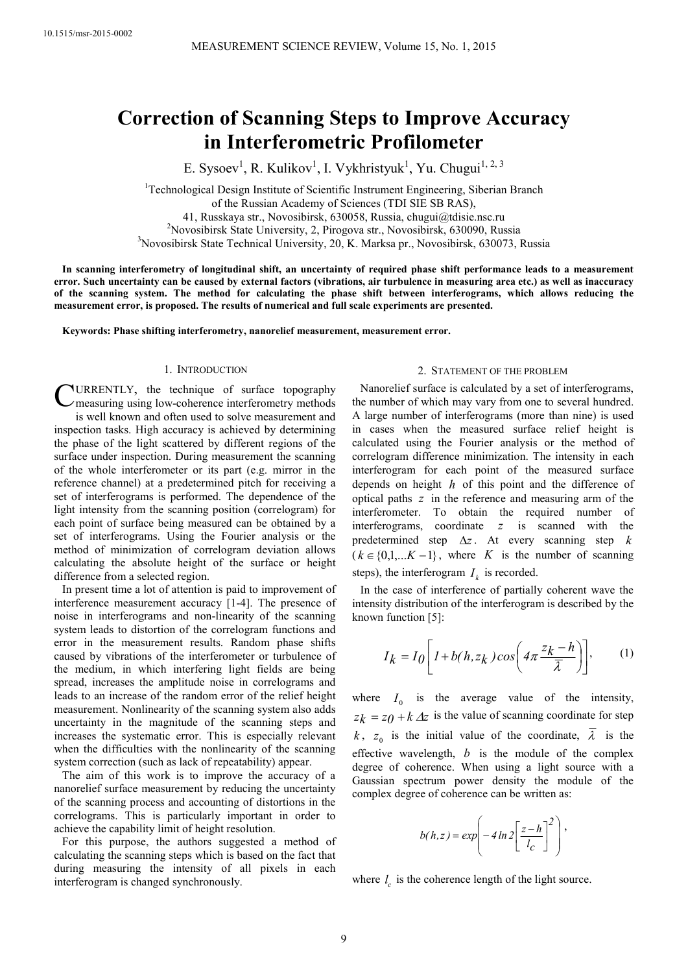# **Correction of Scanning Steps to Improve Accuracy in Interferometric Profilometer**

E. Sysoev<sup>1</sup>, R. Kulikov<sup>1</sup>, I. Vykhristyuk<sup>1</sup>, Yu. Chugui<sup>1, 2, 3</sup>

<sup>1</sup>Technological Design Institute of Scientific Instrument Engineering, Siberian Branch of the Russian Academy of Sciences (TDI SIE SB RAS),

41, Russkaya str., Novosibirsk, 630058, Russia, chugui@tdisie.nsc.ru

<sup>2</sup>Novosibirsk State University, 2, Pirogova str., Novosibirsk, 630090, Russia <sup>3</sup>Novosibirsk State Technical University, 20, K. Marksa pr., Novosibirsk, 630073, Russia

**In scanning interferometry of longitudinal shift, an uncertainty of required phase shift performance leads to a measurement error. Such uncertainty can be caused by external factors (vibrations, air turbulence in measuring area etc.) as well as inaccuracy of the scanning system. The method for calculating the phase shift between interferograms, which allows reducing the measurement error, is proposed. The results of numerical and full scale experiments are presented.** 

**Keywords: Phase shifting interferometry, nanorelief measurement, measurement error.** 

# 1. INTRODUCTION

URRENTLY, the technique of surface topography C measuring using low-coherence interferometry methods is well known and often used to solve measurement and inspection tasks. High accuracy is achieved by determining the phase of the light scattered by different regions of the surface under inspection. During measurement the scanning of the whole interferometer or its part (e.g. mirror in the reference channel) at a predetermined pitch for receiving a set of interferograms is performed. The dependence of the light intensity from the scanning position (correlogram) for each point of surface being measured can be obtained by a set of interferograms. Using the Fourier analysis or the method of minimization of correlogram deviation allows calculating the absolute height of the surface or height difference from a selected region.

In present time a lot of attention is paid to improvement of interference measurement accuracy [1-4]. The presence of noise in interferograms and non-linearity of the scanning system leads to distortion of the correlogram functions and error in the measurement results. Random phase shifts caused by vibrations of the interferometer or turbulence of the medium, in which interfering light fields are being spread, increases the amplitude noise in correlograms and leads to an increase of the random error of the relief height measurement. Nonlinearity of the scanning system also adds uncertainty in the magnitude of the scanning steps and increases the systematic error. This is especially relevant when the difficulties with the nonlinearity of the scanning system correction (such as lack of repeatability) appear.

The aim of this work is to improve the accuracy of a nanorelief surface measurement by reducing the uncertainty of the scanning process and accounting of distortions in the correlograms. This is particularly important in order to achieve the capability limit of height resolution.

For this purpose, the authors suggested a method of calculating the scanning steps which is based on the fact that during measuring the intensity of all pixels in each interferogram is changed synchronously.

# 2. STATEMENT OF THE PROBLEM

Nanorelief surface is calculated by a set of interferograms, the number of which may vary from one to several hundred. A large number of interferograms (more than nine) is used in cases when the measured surface relief height is calculated using the Fourier analysis or the method of correlogram difference minimization. The intensity in each interferogram for each point of the measured surface depends on height *h* of this point and the difference of optical paths *z* in the reference and measuring arm of the interferometer. To obtain the required number of interferograms, coordinate *z* is scanned with the predetermined step ∆*z*. At every scanning step *k*  $(k \in \{0,1,...K-1\}$ , where *K* is the number of scanning steps), the interferogram  $I_k$  is recorded.

In the case of interference of partially coherent wave the intensity distribution of the interferogram is described by the known function [5]:

$$
I_k = I_0 \left[ I + b(h, z_k) \cos\left(4\pi \frac{z_k - h}{\overline{\lambda}}\right) \right], \qquad (1)
$$

where  $I_0$  is the average value of the intensity,  $z_k = z_0 + k \Delta z$  is the value of scanning coordinate for step *k*,  $z_0$  is the initial value of the coordinate,  $\lambda$  is the effective wavelength, *b* is the module of the complex degree of coherence. When using a light source with a Gaussian spectrum power density the module of the complex degree of coherence can be written as:

$$
b(h,z) = \exp\left(-4\ln 2\left[\frac{z-h}{l_c}\right]^2\right),\,
$$

where  $l_c$  is the coherence length of the light source.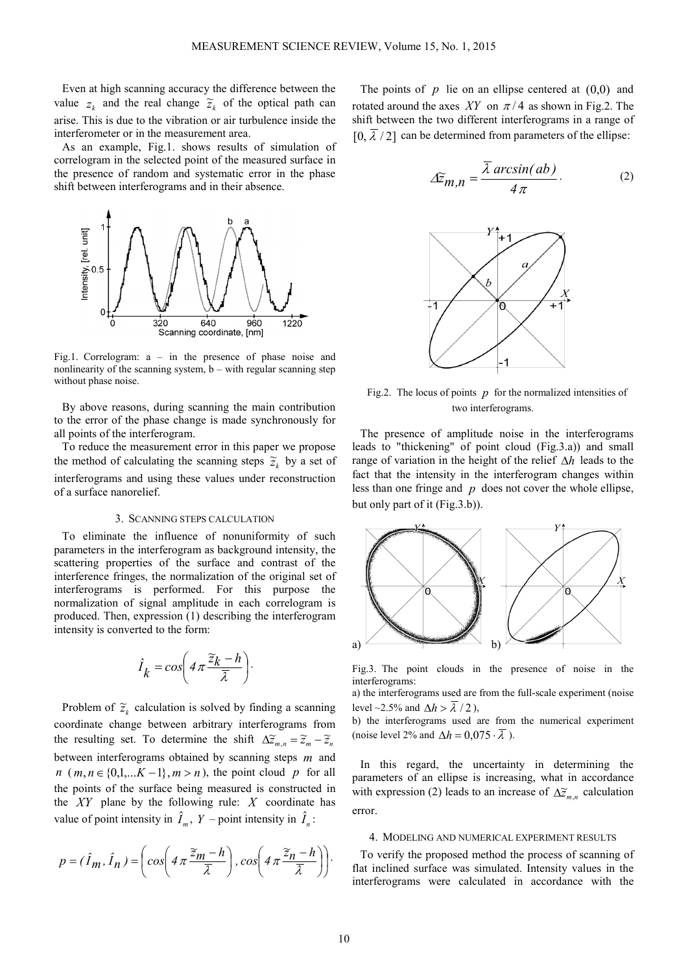Even at high scanning accuracy the difference between the value  $z_k$  and the real change  $\tilde{z}_k$  of the optical path can arise. This is due to the vibration or air turbulence inside the interferometer or in the measurement area.

As an example, Fig.1. shows results of simulation of correlogram in the selected point of the measured surface in the presence of random and systematic error in the phase shift between interferograms and in their absence.



Fig.1. Correlogram: a – in the presence of phase noise and nonlinearity of the scanning system,  $b -$  with regular scanning step without phase noise.

By above reasons, during scanning the main contribution to the error of the phase change is made synchronously for all points of the interferogram.

To reduce the measurement error in this paper we propose the method of calculating the scanning steps  $\tilde{z}_k$  by a set of interferograms and using these values under reconstruction of a surface nanorelief.

## 3. SCANNING STEPS CALCULATION

To eliminate the influence of nonuniformity of such parameters in the interferogram as background intensity, the scattering properties of the surface and contrast of the interference fringes, the normalization of the original set of interferograms is performed. For this purpose the normalization of signal amplitude in each correlogram is produced. Then, expression (1) describing the interferogram intensity is converted to the form:

$$
\hat{I}_k = \cos\left(4\pi \frac{\widetilde{z}_k - h}{\overline{\lambda}}\right).
$$

Problem of  $\tilde{z}_k$  calculation is solved by finding a scanning coordinate change between arbitrary interferograms from the resulting set. To determine the shift  $\Delta \tilde{z}_{m,n} = \tilde{z}_m - \tilde{z}_n$ between interferograms obtained by scanning steps *m* and *n*  $(m, n \in \{0,1,...K-1\}, m > n)$ , the point cloud *p* for all the points of the surface being measured is constructed in the *XY* plane by the following rule: *X* coordinate has value of point intensity in  $\hat{I}_m$ ,  $Y$  – point intensity in  $\hat{I}_n$ :

$$
p = (\hat{I}_m, \hat{I}_n) = \left( \cos \left( 4 \pi \frac{\tilde{z}_m - h}{\bar{\lambda}} \right), \cos \left( 4 \pi \frac{\tilde{z}_n - h}{\bar{\lambda}} \right) \right).
$$

The points of  $p$  lie on an ellipse centered at  $(0,0)$  and rotated around the axes *XY* on  $\pi/4$  as shown in Fig.2. The shift between the two different interferograms in a range of  $[0, \overline{\lambda}/2]$  can be determined from parameters of the ellipse:

$$
\Delta \widetilde{z}_{m,n} = \frac{\overline{\lambda} \arcsin(ab)}{4\pi}.
$$
 (2)



Fig.2. The locus of points  $p$  for the normalized intensities of two interferograms.

The presence of amplitude noise in the interferograms leads to "thickening" of point cloud (Fig.3.a)) and small range of variation in the height of the relief ∆*h* leads to the fact that the intensity in the interferogram changes within less than one fringe and *p* does not cover the whole ellipse, but only part of it (Fig.3.b)).



Fig.3. The point clouds in the presence of noise in the interferograms:

a) the interferograms used are from the full-scale experiment (noise level ~2.5% and  $\Delta h > \overline{\lambda}/2$ ),

b) the interferograms used are from the numerical experiment (noise level 2% and  $\Delta h = 0.075 \cdot \overline{\lambda}$ ).

In this regard, the uncertainty in determining the parameters of an ellipse is increasing, what in accordance with expression (2) leads to an increase of  $\Delta \tilde{z}_{m,n}$  calculation error.

#### 4. MODELING AND NUMERICAL EXPERIMENT RESULTS

To verify the proposed method the process of scanning of flat inclined surface was simulated. Intensity values in the interferograms were calculated in accordance with the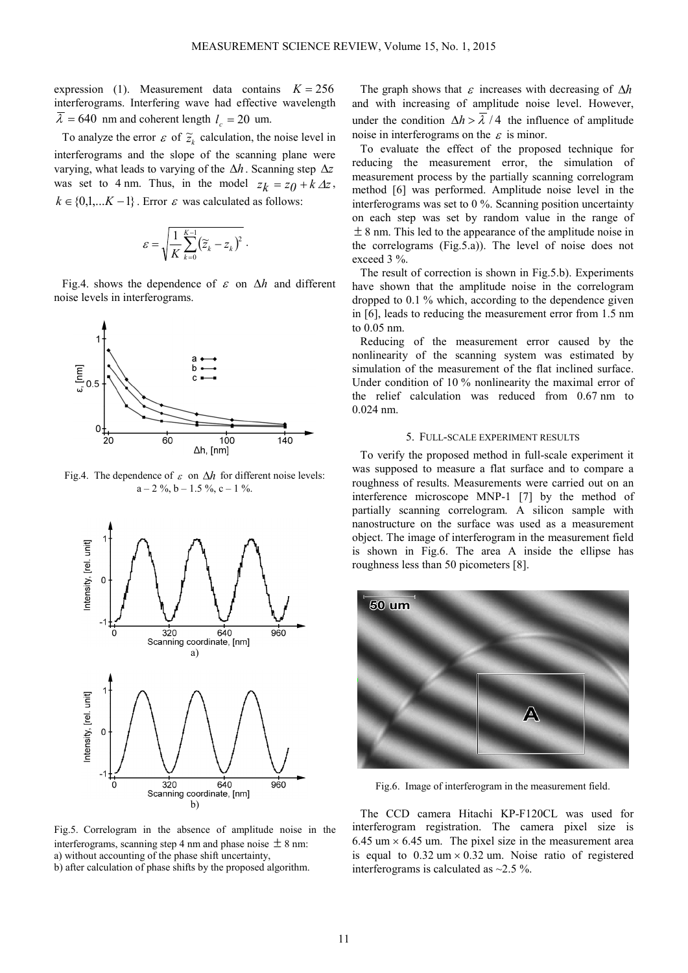expression (1). Measurement data contains  $K = 256$ interferograms. Interfering wave had effective wavelength  $\lambda = 640$  nm and coherent length  $l_c = 20$  um.

To analyze the error  $\varepsilon$  of  $\tilde{z}_k$  calculation, the noise level in interferograms and the slope of the scanning plane were varying, what leads to varying of the ∆*h* . Scanning step ∆*z* was set to 4 nm. Thus, in the model  $z_k = z_0 + k \Delta z$ ,  $k \in \{0,1,...K-1\}$ . Error  $\varepsilon$  was calculated as follows:

$$
\mathcal{E} = \sqrt{\frac{1}{K}\sum_{k=0}^{K-1} (\widetilde{z}_k - z_k)^2}.
$$

Fig.4. shows the dependence of ε on ∆*h* and different noise levels in interferograms.



Fig.4. The dependence of  $\varepsilon$  on  $\Delta h$  for different noise levels:  $a - 2 \frac{9}{6}, b - 1.5 \frac{9}{6}, c - 1 \frac{9}{6}.$ 



Fig.5. Correlogram in the absence of amplitude noise in the interferograms, scanning step 4 nm and phase noise  $\pm$  8 nm: a) without accounting of the phase shift uncertainty, b) after calculation of phase shifts by the proposed algorithm.

The graph shows that  $\varepsilon$  increases with decreasing of  $\Delta h$ and with increasing of amplitude noise level. However, under the condition  $\Delta h > \overline{\lambda}/4$  the influence of amplitude noise in interferograms on the  $\varepsilon$  is minor.

To evaluate the effect of the proposed technique for reducing the measurement error, the simulation of measurement process by the partially scanning correlogram method [6] was performed. Amplitude noise level in the interferograms was set to 0 %. Scanning position uncertainty on each step was set by random value in the range of  $\pm$  8 nm. This led to the appearance of the amplitude noise in the correlograms (Fig.5.a)). The level of noise does not exceed 3 %.

The result of correction is shown in Fig.5.b). Experiments have shown that the amplitude noise in the correlogram dropped to 0.1 % which, according to the dependence given in [6], leads to reducing the measurement error from 1.5 nm to 0.05 nm.

Reducing of the measurement error caused by the nonlinearity of the scanning system was estimated by simulation of the measurement of the flat inclined surface. Under condition of 10 % nonlinearity the maximal error of the relief calculation was reduced from 0.67 nm to 0.024 nm.

# 5. FULL-SCALE EXPERIMENT RESULTS

To verify the proposed method in full-scale experiment it was supposed to measure a flat surface and to compare a roughness of results. Measurements were carried out on an interference microscope MNP-1 [7] by the method of partially scanning correlogram. A silicon sample with nanostructure on the surface was used as a measurement object. The image of interferogram in the measurement field is shown in Fig.6. The area A inside the ellipse has roughness less than 50 picometers [8].



Fig.6. Image of interferogram in the measurement field.

The CCD camera Hitachi KP-F120CL was used for interferogram registration. The camera pixel size is  $6.45$  um  $\times$  6.45 um. The pixel size in the measurement area is equal to  $0.32 \text{ um} \times 0.32 \text{ um}$ . Noise ratio of registered interferograms is calculated as  $\sim$ 2.5 %.